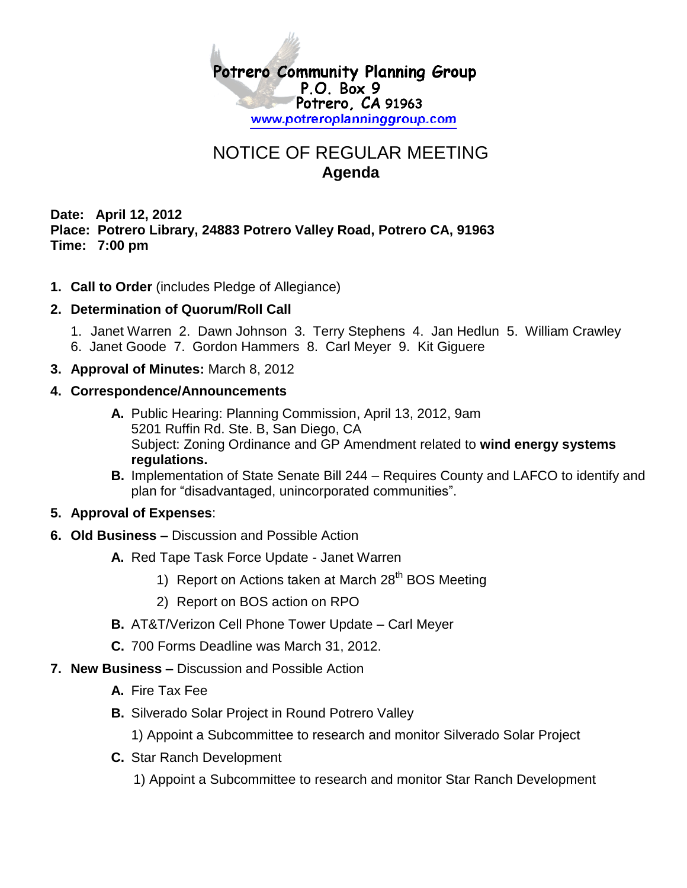

## NOTICE OF REGULAR MEETING **Agenda**

**Date: April 12, 2012 Place: Potrero Library, 24883 Potrero Valley Road, Potrero CA, 91963 Time: 7:00 pm**

**1. Call to Order** (includes Pledge of Allegiance)

## **2. Determination of Quorum/Roll Call**

- 1. Janet Warren 2. Dawn Johnson 3. Terry Stephens 4. Jan Hedlun 5. William Crawley
- 6. Janet Goode 7. Gordon Hammers 8. Carl Meyer 9. Kit Giguere
- **3. Approval of Minutes:** March 8, 2012

## **4. Correspondence/Announcements**

- **A.** Public Hearing: Planning Commission, April 13, 2012, 9am 5201 Ruffin Rd. Ste. B, San Diego, CA Subject: Zoning Ordinance and GP Amendment related to **wind energy systems regulations.**
- **B.** Implementation of State Senate Bill 244 Requires County and LAFCO to identify and plan for "disadvantaged, unincorporated communities".

## **5. Approval of Expenses**:

- **6. Old Business –** Discussion and Possible Action
	- **A.** Red Tape Task Force Update Janet Warren
		- 1) Report on Actions taken at March 28<sup>th</sup> BOS Meeting
		- 2) Report on BOS action on RPO
	- **B.** AT&T/Verizon Cell Phone Tower Update Carl Meyer
	- **C.** 700 Forms Deadline was March 31, 2012.
- **7. New Business –** Discussion and Possible Action
	- **A.** Fire Tax Fee
	- **B.** Silverado Solar Project in Round Potrero Valley
		- 1) Appoint a Subcommittee to research and monitor Silverado Solar Project
	- **C.** Star Ranch Development

1) Appoint a Subcommittee to research and monitor Star Ranch Development